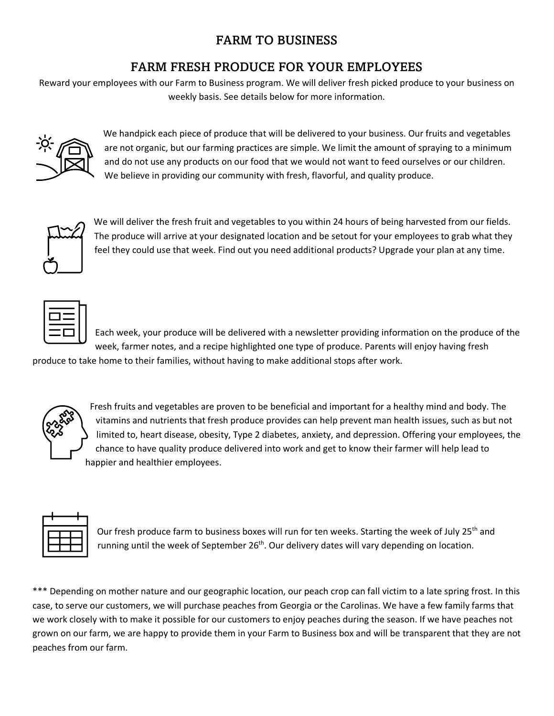## FARM TO BUSINESS

## FARM FRESH PRODUCE FOR YOUR EMPLOYEES

Reward your employees with our Farm to Business program. We will deliver fresh picked produce to your business on weekly basis. See details below for more information.



 We handpick each piece of produce that will be delivered to your business. Our fruits and vegetables are not organic, but our farming practices are simple. We limit the amount of spraying to a minimum and do not use any products on our food that we would not want to feed ourselves or our children. We believe in providing our community with fresh, flavorful, and quality produce.



We will deliver the fresh fruit and vegetables to you within 24 hours of being harvested from our fields. The produce will arrive at your designated location and be setout for your employees to grab what they feel they could use that week. Find out you need additional products? Upgrade your plan at any time.



Each week, your produce will be delivered with a newsletter providing information on the produce of the week, farmer notes, and a recipe highlighted one type of produce. Parents will enjoy having fresh

produce to take home to their families, without having to make additional stops after work.



Fresh fruits and vegetables are proven to be beneficial and important for a healthy mind and body. The vitamins and nutrients that fresh produce provides can help prevent man health issues, such as but not limited to, heart disease, obesity, Type 2 diabetes, anxiety, and depression. Offering your employees, the chance to have quality produce delivered into work and get to know their farmer will help lead to happier and healthier employees.



Our fresh produce farm to business boxes will run for ten weeks. Starting the week of July 25<sup>th</sup> and running until the week of September 26<sup>th</sup>. Our delivery dates will vary depending on location.

\*\*\* Depending on mother nature and our geographic location, our peach crop can fall victim to a late spring frost. In this case, to serve our customers, we will purchase peaches from Georgia or the Carolinas. We have a few family farms that we work closely with to make it possible for our customers to enjoy peaches during the season. If we have peaches not grown on our farm, we are happy to provide them in your Farm to Business box and will be transparent that they are not peaches from our farm.